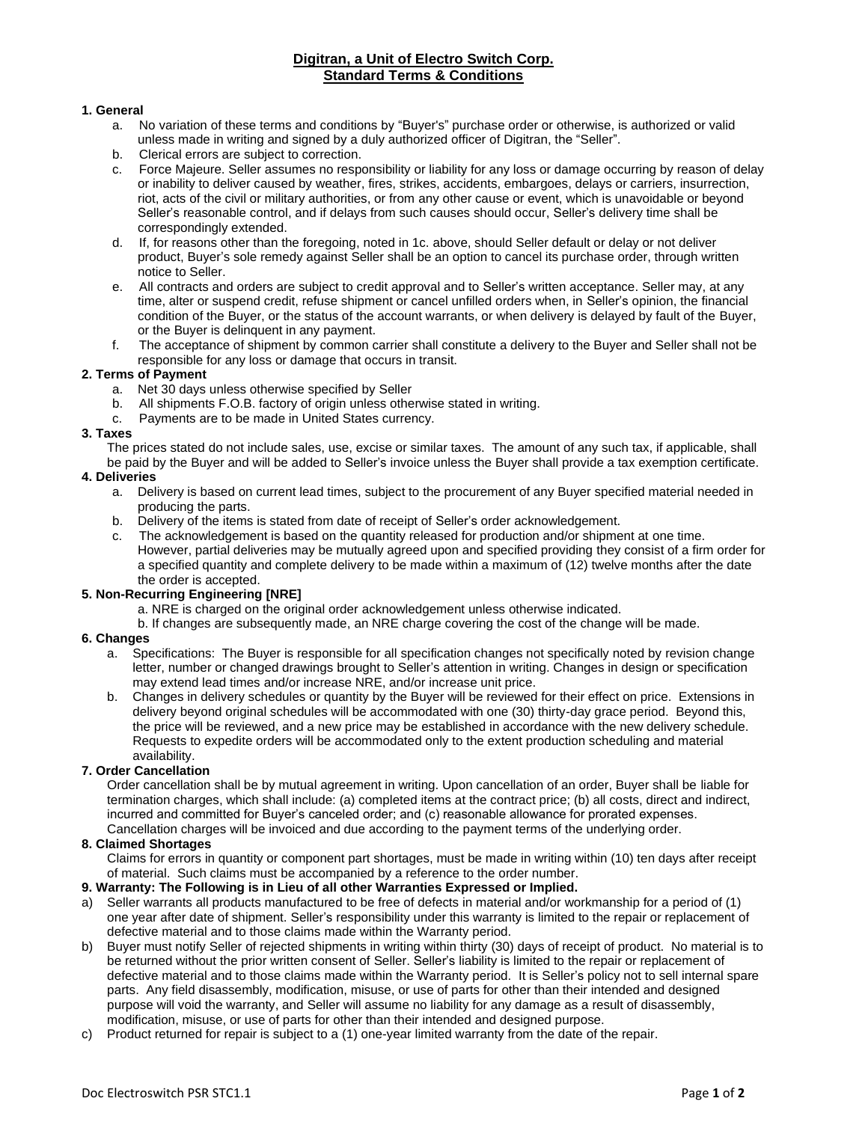# **Digitran, a Unit of Electro Switch Corp. Standard Terms & Conditions**

#### **1. General**

- a. No variation of these terms and conditions by "Buyer's" purchase order or otherwise, is authorized or valid unless made in writing and signed by a duly authorized officer of Digitran, the "Seller".
- b. Clerical errors are subject to correction.
- c. Force Majeure. Seller assumes no responsibility or liability for any loss or damage occurring by reason of delay or inability to deliver caused by weather, fires, strikes, accidents, embargoes, delays or carriers, insurrection, riot, acts of the civil or military authorities, or from any other cause or event, which is unavoidable or beyond Seller's reasonable control, and if delays from such causes should occur, Seller's delivery time shall be correspondingly extended.
- d. If, for reasons other than the foregoing, noted in 1c. above, should Seller default or delay or not deliver product, Buyer's sole remedy against Seller shall be an option to cancel its purchase order, through written notice to Seller.
- e. All contracts and orders are subject to credit approval and to Seller's written acceptance. Seller may, at any time, alter or suspend credit, refuse shipment or cancel unfilled orders when, in Seller's opinion, the financial condition of the Buyer, or the status of the account warrants, or when delivery is delayed by fault of the Buyer, or the Buyer is delinquent in any payment.
- f. The acceptance of shipment by common carrier shall constitute a delivery to the Buyer and Seller shall not be responsible for any loss or damage that occurs in transit.

#### **2. Terms of Payment**

- a. Net 30 days unless otherwise specified by Seller
- b. All shipments F.O.B. factory of origin unless otherwise stated in writing.<br>c. Payments are to be made in United States currency.
- Payments are to be made in United States currency.

#### **3. Taxes**

The prices stated do not include sales, use, excise or similar taxes. The amount of any such tax, if applicable, shall be paid by the Buyer and will be added to Seller's invoice unless the Buyer shall provide a tax exemption certificate.

#### **4. Deliveries**

- a. Delivery is based on current lead times, subject to the procurement of any Buyer specified material needed in producing the parts.
- b. Delivery of the items is stated from date of receipt of Seller's order acknowledgement.
- c. The acknowledgement is based on the quantity released for production and/or shipment at one time. However, partial deliveries may be mutually agreed upon and specified providing they consist of a firm order for a specified quantity and complete delivery to be made within a maximum of (12) twelve months after the date the order is accepted.

## **5. Non-Recurring Engineering [NRE]**

- a. NRE is charged on the original order acknowledgement unless otherwise indicated.
- b. If changes are subsequently made, an NRE charge covering the cost of the change will be made.

## **6. Changes**

- a. Specifications: The Buyer is responsible for all specification changes not specifically noted by revision change letter, number or changed drawings brought to Seller's attention in writing. Changes in design or specification may extend lead times and/or increase NRE, and/or increase unit price.
- b. Changes in delivery schedules or quantity by the Buyer will be reviewed for their effect on price. Extensions in delivery beyond original schedules will be accommodated with one (30) thirty-day grace period. Beyond this, the price will be reviewed, and a new price may be established in accordance with the new delivery schedule. Requests to expedite orders will be accommodated only to the extent production scheduling and material availability.

## **7. Order Cancellation**

Order cancellation shall be by mutual agreement in writing. Upon cancellation of an order, Buyer shall be liable for termination charges, which shall include: (a) completed items at the contract price; (b) all costs, direct and indirect, incurred and committed for Buyer's canceled order; and (c) reasonable allowance for prorated expenses. Cancellation charges will be invoiced and due according to the payment terms of the underlying order.

#### **8. Claimed Shortages**

Claims for errors in quantity or component part shortages, must be made in writing within (10) ten days after receipt of material. Such claims must be accompanied by a reference to the order number.

## **9. Warranty: The Following is in Lieu of all other Warranties Expressed or Implied.**

- a) Seller warrants all products manufactured to be free of defects in material and/or workmanship for a period of (1) one year after date of shipment. Seller's responsibility under this warranty is limited to the repair or replacement of defective material and to those claims made within the Warranty period.
- b) Buyer must notify Seller of rejected shipments in writing within thirty (30) days of receipt of product. No material is to be returned without the prior written consent of Seller. Seller's liability is limited to the repair or replacement of defective material and to those claims made within the Warranty period. It is Seller's policy not to sell internal spare parts. Any field disassembly, modification, misuse, or use of parts for other than their intended and designed purpose will void the warranty, and Seller will assume no liability for any damage as a result of disassembly, modification, misuse, or use of parts for other than their intended and designed purpose.
- c) Product returned for repair is subject to a (1) one-year limited warranty from the date of the repair.